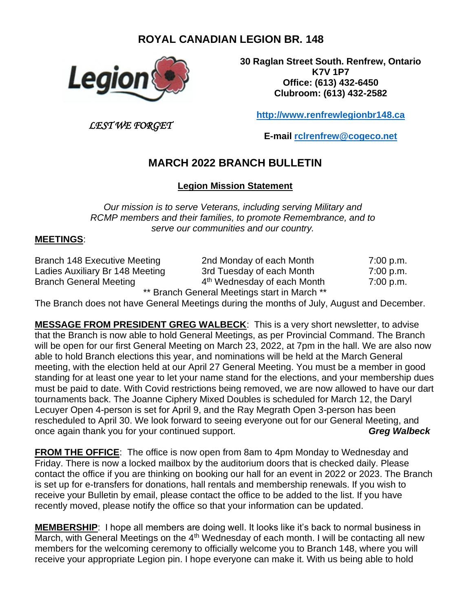## **ROYAL CANADIAN LEGION BR. 148**



*LEST WE FORGET*

**30 Raglan Street South. Renfrew, Ontario K7V 1P7 Office: (613) 432-6450 Clubroom: (613) 432-2582**

**[http://www.renfrewlegionbr148.ca](http://www.renfrewlegionbr148.ca/)**

**E-mail [rclrenfrew@cogeco.net](mailto:rclrenfrew@cogeco.net)**

## **MARCH 2022 BRANCH BULLETIN**

## **Legion Mission Statement**

*Our mission is to serve Veterans, including serving Military and RCMP members and their families, to promote Remembrance, and to serve our communities and our country.*

## **MEETINGS**:

Branch General Meeting 4

Branch 148 Executive Meeting 2nd Monday of each Month 7:00 p.m. Ladies Auxiliary Br 148 Meeting 3rd Tuesday of each Month 7:00 p.m. 4<sup>th</sup> Wednesday of each Month 7:00 p.m. \*\* Branch General Meetings start in March \*\*

The Branch does not have General Meetings during the months of July, August and December.

**MESSAGE FROM PRESIDENT GREG WALBECK**: This is a very short newsletter, to advise that the Branch is now able to hold General Meetings, as per Provincial Command. The Branch will be open for our first General Meeting on March 23, 2022, at 7pm in the hall. We are also now able to hold Branch elections this year, and nominations will be held at the March General meeting, with the election held at our April 27 General Meeting. You must be a member in good standing for at least one year to let your name stand for the elections, and your membership dues must be paid to date. With Covid restrictions being removed, we are now allowed to have our dart tournaments back. The Joanne Ciphery Mixed Doubles is scheduled for March 12, the Daryl Lecuyer Open 4-person is set for April 9, and the Ray Megrath Open 3-person has been rescheduled to April 30. We look forward to seeing everyone out for our General Meeting, and once again thank you for your continued support. **Greek and Street Walbeck Greg Walbeck** 

**FROM THE OFFICE**: The office is now open from 8am to 4pm Monday to Wednesday and Friday. There is now a locked mailbox by the auditorium doors that is checked daily. Please contact the office if you are thinking on booking our hall for an event in 2022 or 2023. The Branch is set up for e-transfers for donations, hall rentals and membership renewals. If you wish to receive your Bulletin by email, please contact the office to be added to the list. If you have recently moved, please notify the office so that your information can be updated.

**MEMBERSHIP**: I hope all members are doing well. It looks like it's back to normal business in March, with General Meetings on the 4<sup>th</sup> Wednesday of each month. I will be contacting all new members for the welcoming ceremony to officially welcome you to Branch 148, where you will receive your appropriate Legion pin. I hope everyone can make it. With us being able to hold